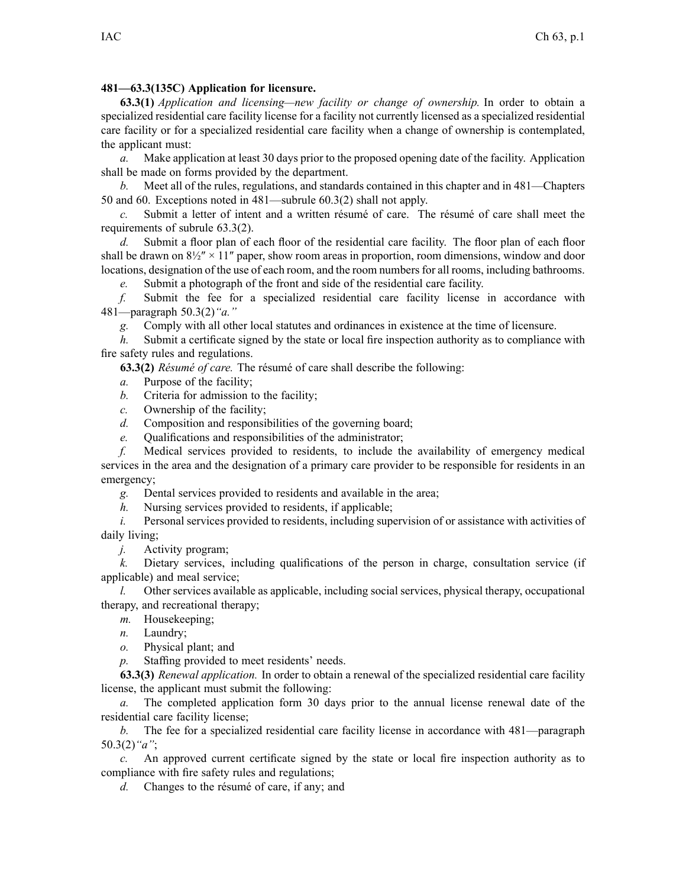## **481—63.3(135C) Application for licensure.**

**63.3(1)** *Application and licensing—new facility or change of ownership.* In order to obtain <sup>a</sup> specialized residential care facility license for <sup>a</sup> facility not currently licensed as <sup>a</sup> specialized residential care facility or for <sup>a</sup> specialized residential care facility when <sup>a</sup> change of ownership is contemplated, the applicant must:

*a.* Make application at least 30 days prior to the proposed opening date of the facility. Application shall be made on forms provided by the department.

*b.* Meet all of the rules, regulations, and standards contained in this chapter and in [481—Chapters](https://www.legis.iowa.gov/docs/iac/chapter/481.50.pdf) [50](https://www.legis.iowa.gov/docs/iac/chapter/481.50.pdf) and [60](https://www.legis.iowa.gov/docs/iac/chapter/481.60.pdf). Exceptions noted in [481—subrule](https://www.legis.iowa.gov/docs/iac/rule/481.60.3.pdf) 60.3(2) shall not apply.

*c.* Submit <sup>a</sup> letter of intent and <sup>a</sup> written résumé of care. The résumé of care shall meet the requirements of subrule [63.3\(2\)](https://www.legis.iowa.gov/docs/iac/rule/481.63.3.pdf).

*d.* Submit <sup>a</sup> floor plan of each floor of the residential care facility. The floor plan of each floor shall be drawn on  $8\frac{1}{2}$ " × 11" paper, show room areas in proportion, room dimensions, window and door locations, designation of the use of each room, and the room numbers for all rooms, including bathrooms.

*e.* Submit <sup>a</sup> photograph of the front and side of the residential care facility.

*f.* Submit the fee for <sup>a</sup> specialized residential care facility license in accordance with [481—paragraph](https://www.legis.iowa.gov/docs/iac/rule/481.50.3.pdf) 50.3(2)*"a."*

*g.* Comply with all other local statutes and ordinances in existence at the time of licensure.

*h.* Submit <sup>a</sup> certificate signed by the state or local fire inspection authority as to compliance with fire safety rules and regulations.

**63.3(2)** *Résumé of care.* The résumé of care shall describe the following:

*a.* Purpose of the facility;

*b.* Criteria for admission to the facility;

*c.* Ownership of the facility;

*d.* Composition and responsibilities of the governing board;

*e.* Qualifications and responsibilities of the administrator;

*f.* Medical services provided to residents, to include the availability of emergency medical services in the area and the designation of <sup>a</sup> primary care provider to be responsible for residents in an emergency;

*g.* Dental services provided to residents and available in the area;

*h.* Nursing services provided to residents, if applicable;

*i.* Personal services provided to residents, including supervision of or assistance with activities of daily living;

*j.* Activity program;

*k.* Dietary services, including qualifications of the person in charge, consultation service (if applicable) and meal service;

*l.* Other services available as applicable, including social services, physical therapy, occupational therapy, and recreational therapy;

*m.* Housekeeping;

*n.* Laundry;

*o.* Physical plant; and

*p.* Staffing provided to meet residents' needs.

**63.3(3)** *Renewal application.* In order to obtain <sup>a</sup> renewal of the specialized residential care facility license, the applicant must submit the following:

*a.* The completed application form 30 days prior to the annual license renewal date of the residential care facility license;

*b.* The fee for <sup>a</sup> specialized residential care facility license in accordance with [481—paragraph](https://www.legis.iowa.gov/docs/iac/rule/481.50.3.pdf) [50.3\(2\)](https://www.legis.iowa.gov/docs/iac/rule/481.50.3.pdf)*"a"*;

*c.* An approved current certificate signed by the state or local fire inspection authority as to compliance with fire safety rules and regulations;

*d.* Changes to the résumé of care, if any; and